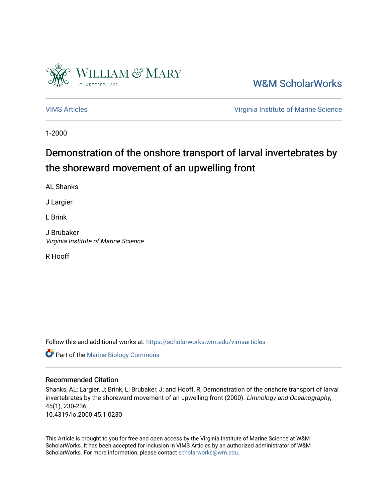

[W&M ScholarWorks](https://scholarworks.wm.edu/) 

[VIMS Articles](https://scholarworks.wm.edu/vimsarticles) [Virginia Institute of Marine Science](https://scholarworks.wm.edu/vims) 

1-2000

# Demonstration of the onshore transport of larval invertebrates by the shoreward movement of an upwelling front

AL Shanks

J Largier

L Brink

J Brubaker Virginia Institute of Marine Science

R Hooff

Follow this and additional works at: [https://scholarworks.wm.edu/vimsarticles](https://scholarworks.wm.edu/vimsarticles?utm_source=scholarworks.wm.edu%2Fvimsarticles%2F1646&utm_medium=PDF&utm_campaign=PDFCoverPages)

Part of the [Marine Biology Commons](http://network.bepress.com/hgg/discipline/1126?utm_source=scholarworks.wm.edu%2Fvimsarticles%2F1646&utm_medium=PDF&utm_campaign=PDFCoverPages) 

### Recommended Citation

Shanks, AL; Largier, J; Brink, L; Brubaker, J; and Hooff, R, Demonstration of the onshore transport of larval invertebrates by the shoreward movement of an upwelling front (2000). Limnology and Oceanography, 45(1), 230-236. 10.4319/lo.2000.45.1.0230

This Article is brought to you for free and open access by the Virginia Institute of Marine Science at W&M ScholarWorks. It has been accepted for inclusion in VIMS Articles by an authorized administrator of W&M ScholarWorks. For more information, please contact [scholarworks@wm.edu.](mailto:scholarworks@wm.edu)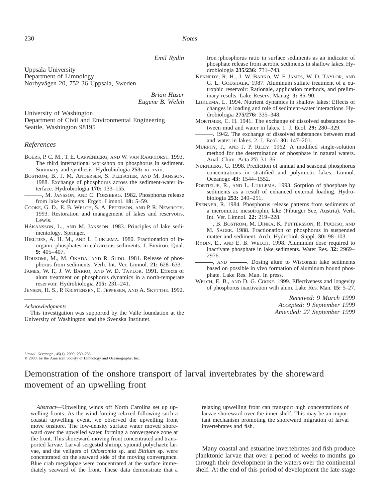*Emil Rydin*

Uppsala University Department of Limnology Norbyvägen 20, 752 36 Uppsala, Sweden

> *Brian Huser Eugene B. Welch*

University of Washington Department of Civil and Environmental Engineering Seattle, Washington 98195

#### *References*

- BOERS, P. C. M., T. E. CAPPENBERG, AND W. VAN RAAPHORST. 1993. The third international workshop on phosphorus in sediment. Summary and synthesis. Hydrobiologia **253:** xi–xviii.
- BOSTRÖM, B., J. M. ANDERSEN, S. FLEISCHER, AND M. JANSSON. 1988. Exchange of phosphorus across the sediment-water interface. Hydrobiologia **170:** 133–155.
	- , M. JANSSON, AND C. FORSBERG. 1982. Phosphorus release from lake sediments. Ergeb. Limnol. **18:** 5–59.
- COOKE, G. D., E. B. WELCH, S. A. PETERSON, AND P. R. NEWROTH. 1993. Restoration and management of lakes and reservoirs. Lewis.
- HÅKANSSON, L., AND M. JANSSON. 1983. Principles of lake sedimentology. Springer.
- HIELTJES, A. H. M., AND L. LIJKLEMA. 1980. Fractionation of inorganic phosphates in calcareous sediments. J. Environ. Qual. **9:** 405–407.
- HOUSOMI, M., M. OKADA, AND R. SUDO. 1981. Release of phosphorus from sediments. Verh. Int. Ver. Limnol. **21:** 628–633.
- JAMES, W. F., J. W. BARKO, AND W. D. TAYLOR. 1991. Effects of alum treatment on phosphorus dynamics in a north-temperate reservoir. Hydrobiologia **215:** 231–241.

JENSEN, H. S., P. KRISTENSEN, E. JEPPESEN, AND A. SKYTTHE. 1992.

This investigation was supported by the Valle foundation at the University of Washington and the Svenska Institutet.

Iron : phosphorus ratio in surface sediments as an indicator of phosphate release from aerobic sediments in shallow lakes. Hydrobiologia **235/236:** 731–743.

- KENNEDY, R. H., J. W. BARKO, W. F. JAMES, W. D. TAYLOR, AND G. L. GODSHALK. 1987. Aluminum sulfate treatment of a eutrophic reservoir: Rationale, application methods, and preliminary results. Lake Reserv. Manag. **3:** 85–90.
- LIJKLEMA, L. 1994. Nutrient dynamics in shallow lakes: Effects of changes in loading and role of sediment-water interactions. Hydrobiologia **275/276:** 335–348.
- MORTIMER, C. H. 1941. The exchange of dissolved substances between mud and water in lakes. 1. J. Ecol. **29:** 280–329.

. 1942. The exchange of dissolved substances between mud and water in lakes. 2. J. Ecol. **30:** 147–201.

- MURPHY, J., AND J. P. RILEY. 1962. A modified single-solution method for the determination of phosphate in natural waters. Anal. Chim. Acta **27:** 31–36.
- NÜRNBERG, G. 1998. Prediction of annual and seasonal phosphorus concentrations in stratified and polymictic lakes. Limnol. Oceanogr. **43:** 1544–1552.
- PORTIELJE, R., AND L. LIJKLEMA. 1993. Sorption of phosphate by sediments as a result of enhanced external loading. Hydrobiologia **253:** 249–251.
- PSENNER, R. 1984. Phosphorus release patterns from sediments of a meromictic mesotrophic lake (Piburger See, Austria). Verh. Int. Ver. Limnol. **22:** 219–228.
- , B. BOSTRO¨ M, M. DINKA, K. PETTERSSON, R. PUCKSO, AND M. SAGER. 1988. Fractionation of phosphorus in suspended matter and sediment. Arch. Hydrobiol. Suppl. **30:** 98–103.
- RYDIN, E., AND E. B. WELCH. 1998. Aluminum dose required to inactivate phosphate in lake sediments. Water Res. **32:** 2969– 2976.
- -, AND  $\longrightarrow$  Dosing alum to Wisconsin lake sediments based on possible in vivo formation of aluminum bound phosphate. Lake Res. Man. In press.
- WELCH, E. B., AND D. G. COOKE. 1999. Effectiveness and longevity of phosphorus inactivation with alum. Lake Res. Man. **15:** 5–27.

*Received: 9 March 1999 Accepted: 9 September 1999 Amended: 27 September 1999*

*Limnol. Oceanogr.,* 45(1), 2000, 230–236  $\degree$  2000, by the American Society of Limnology and Oceanography, Inc.

## Demonstration of the onshore transport of larval invertebrates by the shoreward movement of an upwelling front

*Abstract*—Upwelling winds off North Carolina set up upwelling fronts. As the wind forcing relaxed following such a coastal upwelling event, we observed the upwelling front move onshore. The low-density surface water moved shoreward over the upwelled water, forming a convergence zone at the front. This shoreward-moving front concentrated and transported larvae. Larval sergestid shrimp, spionid polychaete larvae, and the veligers of *Odostomia* sp. and *Bittium* sp. were concentrated on the seaward side of the moving convergence. Blue crab megalopae were concentrated at the surface immediately seaward of the front. These data demonstrate that a relaxing upwelling front can transport high concentrations of larvae shoreward over the inner shelf. This may be an important mechanism promoting the shoreward migration of larval invertebrates and fish.

Many coastal and estuarine invertebrates and fish produce planktonic larvae that over a period of weeks to months go through their development in the waters over the continental shelf. At the end of this period of development the late-stage

*Acknowledgments*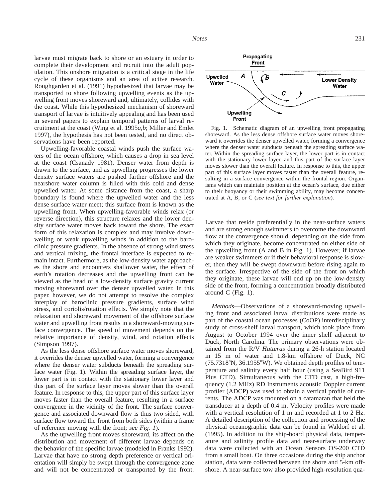larvae must migrate back to shore or an estuary in order to complete their development and recruit into the adult population. This onshore migration is a critical stage in the life cycle of these organisms and an area of active research. Roughgarden et al. (1991) hypothesized that larvae may be transported to shore following upwelling events as the upwelling front moves shoreward and, ultimately, collides with the coast. While this hypothesized mechanism of shoreward transport of larvae is intuitively appealing and has been used in several papers to explain temporal patterns of larval recruitment at the coast (Wing et al. 1995*a,b*; Miller and Emlet 1997), the hypothesis has not been tested, and no direct observations have been reported.

Upwelling-favorable coastal winds push the surface waters of the ocean offshore, which causes a drop in sea level at the coast (Csanady 1981). Denser water from depth is drawn to the surface, and as upwelling progresses the lower density surface waters are pushed farther offshore and the nearshore water column is filled with this cold and dense upwelled water. At some distance from the coast, a sharp boundary is found where the upwelled water and the less dense surface water meet; this surface front is known as the upwelling front. When upwelling-favorable winds relax (or reverse direction), this structure relaxes and the lower density surface water moves back toward the shore. The exact form of this relaxation is complex and may involve downwelling or weak upwelling winds in addition to the baroclinic pressure gradients. In the absence of strong wind stress and vertical mixing, the frontal interface is expected to remain intact. Furthermore, as the low-density water approaches the shore and encounters shallower water, the effect of earth's rotation decreases and the upwelling front can be viewed as the head of a low-density surface gravity current moving shoreward over the denser upwelled water. In this paper, however, we do not attempt to resolve the complex interplay of baroclinic pressure gradients, surface wind stress, and coriolis/rotation effects. We simply note that the relaxation and shoreward movement of the offshore surface water and upwelling front results in a shoreward-moving surface convergence. The speed of movement depends on the relative importance of density, wind, and rotation effects (Simpson 1997).

As the less dense offshore surface water moves shoreward, it overrides the denser upwelled water, forming a convergence where the denser water subducts beneath the spreading surface water (Fig. 1). Within the spreading surface layer, the lower part is in contact with the stationary lower layer and this part of the surface layer moves slower than the overall feature. In response to this, the upper part of this surface layer moves faster than the overall feature, resulting in a surface convergence in the vicinity of the front. The surface convergence and associated downward flow is thus two sided, with surface flow toward the front from both sides (within a frame of reference moving with the front; *see Fig. 1*).

As the upwelling front moves shoreward, its affect on the distribution and movement of different larvae depends on the behavior of the specific larvae (modeled in Franks 1992). Larvae that have no strong depth preference or vertical orientation will simply be swept through the convergence zone and will not be concentrated or transported by the front.



Fig. 1. Schematic diagram of an upwelling front propagating shoreward. As the less dense offshore surface water moves shoreward it overrides the denser upwelled water, forming a convergence where the denser water subducts beneath the spreading surface water. Within the spreading surface layer, the lower part is in contact with the stationary lower layer, and this part of the surface layer moves slower than the overall feature. In response to this, the upper part of this surface layer moves faster than the overall feature, resulting in a surface convergence within the frontal region. Organisms which can maintain position at the ocean's surface, due either to their buoyancy or their swimming ability, may become concentrated at A, B, or C (*see text for further explanation*).

Larvae that reside preferentially in the near-surface waters and are strong enough swimmers to overcome the downward flow at the convergence should, depending on the side from which they originate, become concentrated on either side of the upwelling front (A and B in Fig. 1). However, if larvae are weaker swimmers or if their behavioral response is slower, then they will be swept downward before rising again to the surface. Irrespective of the side of the front on which they originate, these larvae will end up on the low-density side of the front, forming a concentration broadly distributed around C (Fig. 1).

*Methods*—Observations of a shoreward-moving upwelling front and associated larval distributions were made as part of the coastal ocean processes (CoOP) interdisciplinary study of cross-shelf larval transport, which took place from August to October 1994 over the inner shelf adjacent to Duck, North Carolina. The primary observations were obtained from the R/V *Hatteras* during a 26-h station located in 15 m of water and 1.8-km offshore of Duck, NC  $(75.7318^{\circ}N, 36.1955^{\circ}W)$ . We obtained depth profiles of temperature and salinity every half hour (using a SeaBird 911 Plus CTD). Simultaneous with the CTD cast, a high-frequency (1.2 MHz) RD Instruments acoustic Doppler current profiler (ADCP) was used to obtain a vertical profile of currents. The ADCP was mounted on a catamaran that held the transducer at a depth of 0.4 m. Velocity profiles were made with a vertical resolution of 1 m and recorded at 1 to 2 Hz. A detailed description of the collection and processing of the physical oceanographic data can be found in Waldorf et al. (1995). In addition to the ship-board physical data, temperature and salinity profile data and near-surface underway data were collected with an Ocean Sensors OS-200 CTD from a small boat. On three occasions during the ship anchor station, data were collected between the shore and 5-km offshore. A near-surface tow also provided high-resolution qua-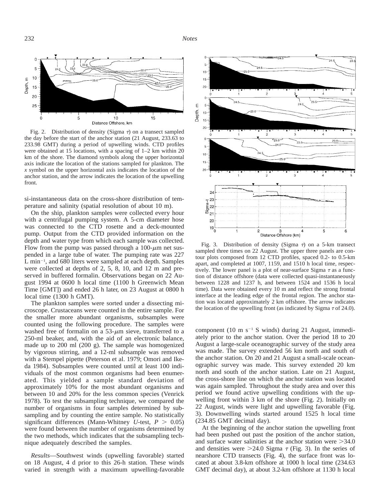

Fig. 2. Distribution of density (Sigma  $\tau$ ) on a transect sampled the day before the start of the anchor station (21 August, 233.63 to 233.98 GMT) during a period of upwelling winds. CTD profiles were obtained at 15 locations, with a spacing of 1–2 km within 20 km of the shore. The diamond symbols along the upper horizontal axis indicate the location of the stations sampled for plankton. The *x* symbol on the upper horizontal axis indicates the location of the anchor station, and the arrow indicates the location of the upwelling front.

si-instantaneous data on the cross-shore distribution of temperature and salinity (spatial resolution of about 10 m).

On the ship, plankton samples were collected every hour with a centrifugal pumping system. A 5-cm diameter hose was connected to the CTD rosette and a deck-mounted pump. Output from the CTD provided information on the depth and water type from which each sample was collected. Flow from the pump was passed through a  $100$ - $\mu$ m net suspended in a large tube of water. The pumping rate was 227 L min<sup>-1</sup>, and 680 liters were sampled at each depth. Samples were collected at depths of 2, 5, 8, 10, and 12 m and preserved in buffered formalin. Observations began on 22 August 1994 at 0600 h local time (1100 h Greenwich Mean Time [GMT]) and ended 26 h later, on 23 August at 0800 h local time (1300 h GMT).

The plankton samples were sorted under a dissecting microscope. Crustaceans were counted in the entire sample. For the smaller more abundant organisms, subsamples were counted using the following procedure. The samples were washed free of formalin on a  $53-\mu m$  sieve, transferred to a 250-ml beaker, and, with the aid of an electronic balance, made up to 200 ml (200 g). The sample was homogenized by vigorous stirring, and a 12-ml subsample was removed with a Stempel pipette (Peterson et al. 1979; Omori and Ikeda 1984). Subsamples were counted until at least 100 individuals of the most common organisms had been enumerated. This yielded a sample standard deviation of approximately 10% for the most abundant organisms and between 10 and 20% for the less common species (Venrick 1978). To test the subsampling technique, we compared the number of organisms in four samples determined by subsampling and by counting the entire sample. No statistically significant differences (Mann-Whitney *U*-test,  $P > 0.05$ ) were found between the number of organisms determined by the two methods, which indicates that the subsampling technique adequately described the samples.

*Results*—Southwest winds (upwelling favorable) started on 18 August, 4 d prior to this 26-h station. These winds varied in strength with a maximum upwelling-favorable



Fig. 3. Distribution of density (Sigma  $\tau$ ) on a 5-km transect sampled three times on 22 August. The upper three panels are contour plots composed from 12 CTD profiles, spaced 0.2- to 0.5-km apart, and completed at 1007, 1159, and 1510 h local time, respectively. The lower panel is a plot of near-surface Sigma  $\tau$  as a function of distance offshore (data were collected quasi-instantaneously between 1228 and 1237 h, and between 1524 and 1536 h local time). Data were obtained every 10 m and reflect the strong frontal interface at the leading edge of the frontal region. The anchor station was located approximately 2 km offshore. The arrow indicates the location of the upwelling front (as indicated by Sigma  $\tau$  of 24.0).

component (10 m  $s^{-1}$  S winds) during 21 August, immediately prior to the anchor station. Over the period 18 to 20 August a large-scale oceanographic survey of the study area was made. The survey extended 56 km north and south of the anchor station. On 20 and 21 August a small-scale oceanographic survey was made. This survey extended 20 km north and south of the anchor station. Late on 21 August, the cross-shore line on which the anchor station was located was again sampled. Throughout the study area and over this period we found active upwelling conditions with the upwelling front within 3 km of the shore (Fig. 2). Initially on 22 August, winds were light and upwelling favorable (Fig. 3). Downwelling winds started around 1525 h local time (234.85 GMT decimal day).

At the beginning of the anchor station the upwelling front had been pushed out past the position of the anchor station, and surface water salinities at the anchor station were  $>34.0$ and densities were  $>24.0$  Sigma  $\tau$  (Fig. 3). In the series of nearshore CTD transects (Fig. 4), the surface front was located at about 3.8-km offshore at 1000 h local time (234.63 GMT decimal day), at about 3.2-km offshore at 1130 h local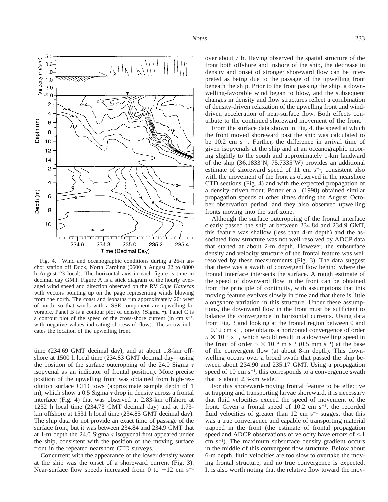

Fig. 4. Wind and oceanographic conditions during a 26-h anchor station off Duck, North Carolina (0600 h August 22 to 0800 h August 23 local). The horizontal axis in each figure is time in decimal day GMT. Figure A is a stick diagram of the hourly averaged wind speed and direction observed on the RV *Cape Hatteras* with vectors pointing up on the page representing winds blowing from the north. The coast and isobaths run approximately  $20^{\circ}$  west of north, so that winds with a SSE component are upwelling favorable. Panel B is a contour plot of density (Sigma  $\tau$ ). Panel C is a contour plot of the speed of the cross-shore current (in cm  $s^{-1}$ , with negative values indicating shoreward flow). The arrow indicates the location of the upwelling front.

time (234.69 GMT decimal day), and at about 1.8-km offshore at 1500 h local time (234.83 GMT decimal day—using the position of the surface outcropping of the 24.0 Sigma  $\tau$ isopycnal as an indicator of frontal position). More precise position of the upwelling front was obtained from high-resolution surface CTD tows (approximate sample depth of 1 m), which show a 0.5 Sigma  $\tau$  drop in density across a frontal interface (Fig. 4) that was observed at 2.83-km offshore at 1232 h local time (234.73 GMT decimal day) and at 1.73 km offshore at 1531 h local time (234.85 GMT decimal day). The ship data do not provide an exact time of passage of the surface front, but it was between 234.84 and 234.9 GMT that at 1-m depth the 24.0 Sigma  $\tau$  isopycnal first appeared under the ship, consistent with the position of the moving surface front in the repeated nearshore CTD surveys.

Concurrent with the appearance of the lower density water at the ship was the onset of a shoreward current (Fig. 3). Near-surface flow speeds increased from 0 to  $-12$  cm s<sup>-1</sup>

over about 7 h. Having observed the spatial structure of the front both offshore and inshore of the ship, the decrease in density and onset of stronger shoreward flow can be interpreted as being due to the passage of the upwelling front beneath the ship. Prior to the front passing the ship, a downwelling-favorable wind began to blow, and the subsequent changes in density and flow structures reflect a combination of density-driven relaxation of the upwelling front and winddriven acceleration of near-surface flow. Both effects contribute to the continued shoreward movement of the front.

From the surface data shown in Fig. 4, the speed at which the front moved shoreward past the ship was calculated to be  $10.2$  cm s<sup>-1</sup>. Further, the difference in arrival time of given isopycnals at the ship and at an oceanographic mooring slightly to the south and approximately 1-km landward of the ship  $(36.1833^{\circ}N, 75.7335^{\circ}W)$  provides an additional estimate of shoreward speed of 11 cm  $s^{-1}$ , consistent also with the movement of the front as observed in the nearshore CTD sections (Fig. 4) and with the expected propagation of a density-driven front. Porter et al. (1998) obtained similar propagation speeds at other times during the August–October observation period, and they also observed upwelling fronts moving into the surf zone.

Although the surface outcropping of the frontal interface clearly passed the ship at between 234.84 and 234.9 GMT, this feature was shallow (less than 4-m depth) and the associated flow structure was not well resolved by ADCP data that started at about 2-m depth. However, the subsurface density and velocity structure of the frontal feature was well resolved by these measurements (Fig. 3). The data suggest that there was a swath of convergent flow behind where the frontal interface intersects the surface. A rough estimate of the speed of downward flow in the front can be obtained from the principle of continuity, with assumptions that this moving feature evolves slowly in time and that there is little alongshore variation in this structure. Under these assumptions, the downward flow in the front must be sufficient to balance the convergence in horizontal currents. Using data from Fig. 3 and looking at the frontal region between 0 and  $-0.12$  cm s<sup>-1</sup>, one obtains a horizontal convergence of order  $5 \times 10^{-5}$  s<sup>-1</sup>, which would result in a downwelling speed in the front of order  $5 \times 10^{-4}$  m s<sup>-1</sup> (0.5 mm s<sup>-1</sup>) at the base of the convergent flow (at about 8-m depth). This downwelling occurs over a broad swath that passed the ship between about 234.90 and 235.17 GMT. Using a propagation speed of 10 cm  $s^{-1}$ , this corresponds to a convergence swath that is about 2.3-km wide.

For this shoreward-moving frontal feature to be effective at trapping and transporting larvae shoreward, it is necessary that fluid velocities exceed the speed of movement of the front. Given a frontal speed of  $10.2 \text{ cm s}^{-1}$ , the recorded fluid velocities of greater than  $12 \text{ cm s}^{-1}$  suggest that this was a true convergence and capable of transporting material trapped in the front (the estimate of frontal propagation speed and ADCP observations of velocity have errors of  $\leq 1$  $cm s^{-1}$ ). The maximum subsurface density gradient occurs in the middle of this convergent flow structure. Below about 6-m depth, fluid velocities are too slow to overtake the moving frontal structure, and no true convergence is expected. It is also worth noting that the relative flow toward the mov-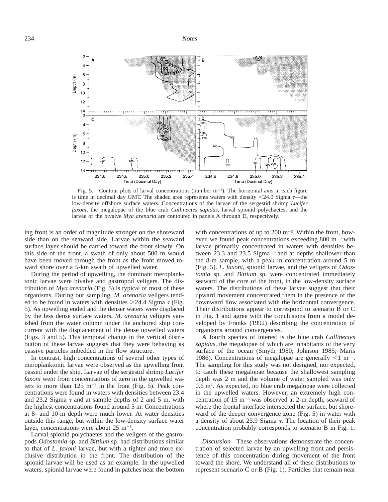

Fig. 5. Contour plots of larval concentrations (number  $m^{-3}$ ). The horizontal axis in each figure is time in decimal day GMT. The shaded area represents waters with density  $\leq$ 24.0 Sigma  $\tau$ —the low-density offshore surface waters. Concentrations of the larvae of the sergestid shrimp *Lucifer faxoni,* the megalopae of the blue crab *Callinectes sapidus,* larval spionid polychaetes, and the larvae of the bivalve *Mya arenaria* are contoured in panels A through D, respectively.

ing front is an order of magnitude stronger on the shoreward side than on the seaward side. Larvae within the seaward surface layer should be carried toward the front slowly. On this side of the front, a swath of only about 500 m would have been moved through the front as the front moved toward shore over a 5-km swath of upwelled water.

During the period of upwelling, the dominant meroplanktonic larvae were bivalve and gastropod veligers. The distribution of *Mya arenaria* (Fig. 5) is typical of most of these organisms. During our sampling, *M. arenaria* veligers tended to be found in waters with densities  $>24.4$  Sigma  $\tau$  (Fig. 5). As upwelling ended and the denser waters were displaced by the less dense surface waters, *M. arenaria* veligers vanished from the water column under the anchored ship concurrent with the displacement of the dense upwelled waters (Figs. 3 and 5). This temporal change in the vertical distribution of these larvae suggests that they were behaving as passive particles imbedded in the flow structure.

In contrast, high concentrations of several other types of meroplanktonic larvae were observed as the upwelling front passed under the ship. Larvae of the sergestid shrimp *Lucifer faxoni* went from concentrations of zero in the upwelled waters to more than  $125 \text{ m}^{-3}$  in the front (Fig. 5). Peak concentrations were found in waters with densities between 23.4 and 23.2 Sigma  $\tau$  and at sample depths of 2 and 5 m, with the highest concentrations found around 5 m. Concentrations at 8- and 10-m depth were much lower. At water densities outside this range, but within the low-density surface water layer, concentrations were about  $25 \text{ m}^{-3}$ .

Larval spionid polychaetes and the veligers of the gastropods *Odostomia* sp. and *Bittium* sp. had distributions similar to that of *L. faxoni* larvae, but with a tighter and more exclusive distribution in the front. The distribution of the spionid larvae will be used as an example. In the upwelled waters, spionid larvae were found in patches near the bottom

with concentrations of up to  $200 \text{ m}^{-3}$ . Within the front, however, we found peak concentrations exceeding  $800 \text{ m}^{-3}$  with larvae primarily concentrated in waters with densities between 23.3 and 23.5 Sigma  $\tau$  and at depths shallower than the 8-m sample, with a peak in concentration around 5 m (Fig. 5). *L. faxoni,* spionid larvae, and the veligers of *Odostomia* sp. and *Bittium* sp. were concentrated immediately seaward of the core of the front, in the low-density surface waters. The distributions of these larvae suggest that their upward movement concentrated them in the presence of the downward flow associated with the horizontal convergence. Their distributions appear to correspond to scenario B or C in Fig. 1 and agree with the conclusions from a model developed by Franks (1992) describing the concentration of organisms around convergences.

A fourth species of interest is the blue crab *Callinectes sapidus,* the megalopae of which are inhabitants of the very surface of the ocean (Smyth 1980; Johnson 1985; Maris 1986). Concentrations of megalopae are generally  $\leq 1$  m<sup>-3</sup>. The sampling for this study was not designed, nor expected, to catch these megalopae because the shallowest sampling depth was 2 m and the volume of water sampled was only 0.6 m3 . As expected, no blue crab megalopae were collected in the upwelled waters. However, an extremely high concentration of  $15 \text{ m}^{-3}$  was observed at 2-m depth, seaward of where the frontal interface intersected the surface, but shoreward of the deeper convergence zone (Fig. 5) in water with a density of about 23.9 Sigma  $\tau$ . The location of their peak concentration probably corresponds to scenario B in Fig. 1.

*Discussion—*These observations demonstrate the concentration of selected larvae by an upwelling front and persistence of this concentration during movement of the front toward the shore. We understand all of these distributions to represent scenario C or B (Fig. 1). Particles that remain near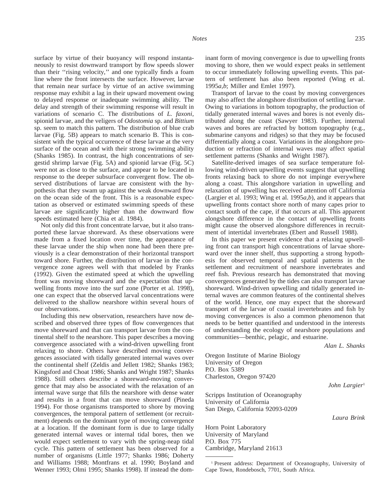surface by virtue of their buoyancy will respond instantaneously to resist downward transport by flow speeds slower than their "rising velocity," and one typically finds a foam line where the front intersects the surface. However, larvae that remain near surface by virtue of an active swimming response may exhibit a lag in their upward movement owing to delayed response or inadequate swimming ability. The delay and strength of their swimming response will result in variations of scenario C. The distributions of *L. faxoni,* spionid larvae, and the veligers of *Odostomia* sp. and *Bittium* sp. seem to match this pattern. The distribution of blue crab larvae (Fig. 5B) appears to match scenario B. This is consistent with the typical occurrence of these larvae at the very surface of the ocean and with their strong swimming ability (Shanks 1985). In contrast, the high concentrations of sergestid shrimp larvae (Fig. 5A) and spionid larvae (Fig. 5C) were not as close to the surface, and appear to be located in response to the deeper subsurface convergent flow. The observed distributions of larvae are consistent with the hypothesis that they swam up against the weak downward flow on the ocean side of the front. This is a reasonable expectation as observed or estimated swimming speeds of these larvae are significantly higher than the downward flow speeds estimated here (Chia et al. 1984).

Not only did this front concentrate larvae, but it also transported these larvae shoreward. As these observations were made from a fixed location over time, the appearance of these larvae under the ship when none had been there previously is a clear demonstration of their horizontal transport toward shore. Further, the distribution of larvae in the convergence zone agrees well with that modeled by Franks (1992). Given the estimated speed at which the upwelling front was moving shoreward and the expectation that upwelling fronts move into the surf zone (Porter et al. 1998), one can expect that the observed larval concentrations were delivered to the shallow nearshore within several hours of our observations.

Including this new observation, researchers have now described and observed three types of flow convergences that move shoreward and that can transport larvae from the continental shelf to the nearshore. This paper describes a moving convergence associated with a wind-driven upwelling front relaxing to shore. Others have described moving convergences associated with tidally generated internal waves over the continental shelf (Zeldis and Jellett 1982; Shanks 1983; Kingsford and Choat 1986; Shanks and Wright 1987; Shanks 1988). Still others describe a shoreward-moving convergence that may also be associated with the relaxation of an internal wave surge that fills the nearshore with dense water and results in a front that can move shoreward (Pineda 1994). For those organisms transported to shore by moving convergences, the temporal pattern of settlement (or recruitment) depends on the dominant type of moving convergence at a location. If the dominant form is due to large tidally generated internal waves or internal tidal bores, then we would expect settlement to vary with the spring-neap tidal cycle. This pattern of settlement has been observed for a number of organisms (Little 1977; Shanks 1986; Doherty and Williams 1988; Montfrans et al. 1990; Boyland and Wenner 1993; Olmi 1995; Shanks 1998). If instead the dominant form of moving convergence is due to upwelling fronts moving to shore, then we would expect peaks in settlement to occur immediately following upwelling events. This pattern of settlement has also been reported (Wing et al. 1995*a,b*; Miller and Emlet 1997).

Transport of larvae to the coast by moving convergences may also affect the alongshore distribution of settling larvae. Owing to variations in bottom topography, the production of tidally generated internal waves and bores is not evenly distributed along the coast (Sawyer 1983). Further, internal waves and bores are refracted by bottom topography (e.g., submarine canyons and ridges) so that they may be focused differentially along a coast. Variations in the alongshore production or refraction of internal waves may affect spatial settlement patterns (Shanks and Wright 1987).

Satellite-derived images of sea surface temperature following wind-driven upwelling events suggest that upwelling fronts relaxing back to shore do not impinge everywhere along a coast. This alongshore variation in upwelling and relaxation of upwelling has received attention off California (Largier et al. 1993; Wing et al. 1995*a,b*), and it appears that upwelling fronts contact shore north of many capes prior to contact south of the cape, if that occurs at all. This apparent alongshore difference in the contact of upwelling fronts might cause the observed alongshore differences in recruitment of intertidal invertebrates (Ebert and Russell 1988).

In this paper we present evidence that a relaxing upwelling front can transport high concentrations of larvae shoreward over the inner shelf, thus supporting a strong hypothesis for observed temporal and spatial patterns in the settlement and recruitment of nearshore invertebrates and reef fish. Previous research has demonstrated that moving convergences generated by the tides can also transport larvae shoreward. Wind-driven upwelling and tidally generated internal waves are common features of the continental shelves of the world. Hence, one may expect that the shoreward transport of the larvae of coastal invertebrates and fish by moving convergences is also a common phenomenon that needs to be better quantified and understood in the interests of understanding the ecology of nearshore populations and communities—benthic, pelagic, and estuarine.

*Alan L. Shanks*

*John Largier*<sup>1</sup>

*Laura Brink*

Oregon Institute of Marine Biology University of Oregon P.O. Box 5389 Charleston, Oregon 97420

Scripps Institution of Oceanography University of California San Diego, California 92093-0209

Horn Point Laboratory University of Maryland P.O. Box 775 Cambridge, Maryland 21613

<sup>1</sup> Present address: Department of Oceanography, University of Cape Town, Rondebosch, 7701, South Africa.